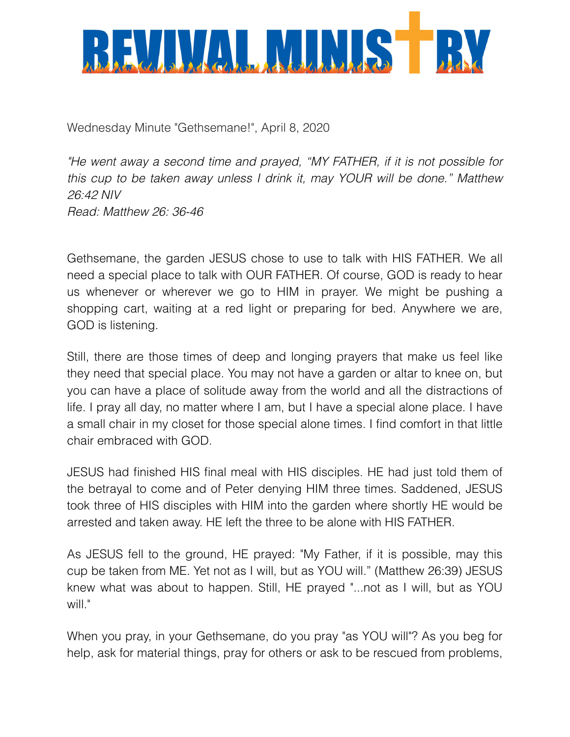

Wednesday Minute "Gethsemane!", April 8, 2020

*"He went away a second time and prayed, "MY FATHER, if it is not possible for this cup to be taken away unless I drink it, may YOUR will be done." Matthew 26:42 NIV Read: Matthew 26: 36-46*

Gethsemane, the garden JESUS chose to use to talk with HIS FATHER. We all need a special place to talk with OUR FATHER. Of course, GOD is ready to hear us whenever or wherever we go to HIM in prayer. We might be pushing a shopping cart, waiting at a red light or preparing for bed. Anywhere we are, GOD is listening.

Still, there are those times of deep and longing prayers that make us feel like they need that special place. You may not have a garden or altar to knee on, but you can have a place of solitude away from the world and all the distractions of life. I pray all day, no matter where I am, but I have a special alone place. I have a small chair in my closet for those special alone times. I find comfort in that little chair embraced with GOD.

JESUS had finished HIS final meal with HIS disciples. HE had just told them of the betrayal to come and of Peter denying HIM three times. Saddened, JESUS took three of HIS disciples with HIM into the garden where shortly HE would be arrested and taken away. HE left the three to be alone with HIS FATHER.

As JESUS fell to the ground, HE prayed: "My Father, if it is possible, may this cup be taken from ME. Yet not as I will, but as YOU will." (Matthew 26:39) JESUS knew what was about to happen. Still, HE prayed "...not as I will, but as YOU will."

When you pray, in your Gethsemane, do you pray "as YOU will"? As you beg for help, ask for material things, pray for others or ask to be rescued from problems,